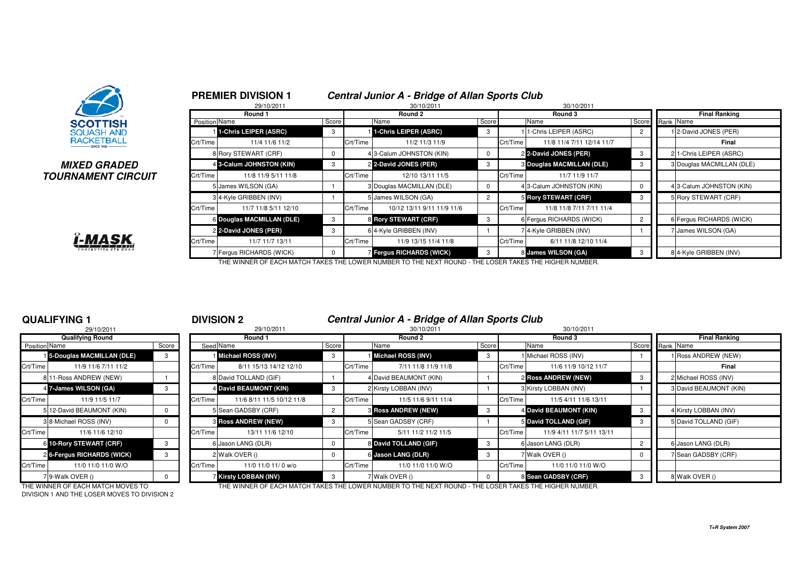

### **MIXED GRADEDTOURNAMENT CIRCUIT**



|               | Round 1                   |          |          | 30/10/2011<br>Round 2      |                |          | 30/10/2011<br>Round 3     | <b>Final Ranking</b> |  |                           |  |
|---------------|---------------------------|----------|----------|----------------------------|----------------|----------|---------------------------|----------------------|--|---------------------------|--|
| Position Name |                           | Score    |          | Name<br>Score              |                |          | Name                      | Score                |  | Rank Name                 |  |
|               | 1-Chris LEIPER (ASRC)     | 3        |          | 1-Chris LEIPER (ASRC)      | 3              |          | I 1-Chris LEIPER (ASRC)   | $\overline{2}$       |  | 12-David JONES (PER)      |  |
| Crt/Time      | 11/4 11/6 11/2            |          | Crt/Time | 11/2 11/3 11/9             |                | Crt/Time | 11/8 11/4 7/11 12/14 11/7 |                      |  | Final                     |  |
|               | 8 Rory STEWART (CRF)      | 0        |          | 43-Calum JOHNSTON (KIN)    | 0              |          | 2 2-David JONES (PER)     | 3                    |  | 21-Chris LEIPER (ASRC)    |  |
|               | 4 3-Calum JOHNSTON (KIN)  | 3        |          | 2 2-David JONES (PER)      | 3              |          | 8 Douglas MACMILLAN (DLE) | 3                    |  | 3 Douglas MACMILLAN (DLE) |  |
| Crt/Time      | 11/8 11/9 5/11 11/8       |          | Crt/Time | 12/10 13/11 11/5           |                | Crt/Time | 11/7 11/9 11/7            |                      |  |                           |  |
|               | 5 James WILSON (GA)       |          |          | 3 Douglas MACMILLAN (DLE)  | 0              |          | 43-Calum JOHNSTON (KIN)   | 0                    |  | 4 3-Calum JOHNSTON (KIN)  |  |
|               | 34-Kyle GRIBBEN (INV)     |          |          | 5 James WILSON (GA)        | $\overline{2}$ |          | 5 Rory STEWART (CRF)      | 3                    |  | 5 Rory STEWART (CRF)      |  |
| Crt/Time      | 11/7 11/8 5/11 12/10      |          | Crt/Time | 10/12 13/11 9/11 11/9 11/6 |                | Crt/Time | 11/8 11/8 7/11 7/11 11/4  |                      |  |                           |  |
|               | 6 Douglas MACMILLAN (DLE) | 3        |          | 8 Rory STEWART (CRF)       | 3              |          | 6 Fergus RICHARDS (WICK)  | $\overline{2}$       |  | 6 Fergus RICHARDS (WICK)  |  |
|               | 2 2-David JONES (PER)     | 3        |          | 6 4-Kyle GRIBBEN (INV)     |                |          | 74-Kyle GRIBBEN (INV)     |                      |  | 7 James WILSON (GA)       |  |
| Crt/Time      | 11/7 11/7 13/11           |          | Crt/Time | 11/9 13/15 11/4 11/8       |                | Crt/Time | 6/11 11/8 12/10 11/4      |                      |  |                           |  |
|               | 7 Fergus RICHARDS (WICK)  | $\Omega$ |          | 7 Fergus RICHARDS (WICK)   | 3              |          | 8 James WILSON (GA)       | 3                    |  | 84-Kyle GRIBBEN (INV)     |  |

### **QUALIFYING 1**

|                      | 29/10/2011                 |          |          | 29/10/2011                   |
|----------------------|----------------------------|----------|----------|------------------------------|
|                      | <b>Qualifying Round</b>    |          |          | Round 1                      |
| <b>Position Name</b> |                            | Score    |          | Seed Name                    |
|                      | 15-Douglas MACMILLAN (DLE) | 3        |          | <b>I</b> Michael ROSS (INV)  |
| Crt/Time             | 11/9 11/6 7/11 11/2        |          | Crt/Time | 8/11 15/13 14/12 12/         |
|                      | 8 11-Ross ANDREW (NEW)     |          |          | 8 David TOLLAND (GIF)        |
|                      | 4 7-James WILSON (GA)      | 3        |          | 4 David BEAUMONT (KIN)       |
| Crt/Time             | 11/9 11/5 11/7             |          | Crt/Time | 11/6 8/11 11/5 10/12 1       |
|                      | 5 12-David BEAUMONT (KIN)  | $\Omega$ |          | 5 Sean GADSBY (CRF)          |
|                      | 3 8-Michael ROSS (INV)     | $\Omega$ |          | <b>8 Ross ANDREW (NEW)</b>   |
| Crt/Time             | 11/6 11/6 12/10            |          | Crt/Time | 13/11 11/6 12/10             |
|                      | 6 10-Rory STEWART (CRF)    | 3        |          | 6 Jason LANG (DLR)           |
|                      | 2 6-Fergus RICHARDS (WICK) | 3        |          | 2 Walk OVER ()               |
| Crt/Time             | 11/0 11/0 11/0 W/O         |          | Crt/Time | 11/0 11/0 11/ 0 w/o          |
|                      | 79-Walk OVER ()            | $\Omega$ |          | <b>7 Kirsty LOBBAN (INV)</b> |

### <sup>1</sup> **DIVISION 2 Central Junior A - Bridge of Allan Sports Club**

|               | 29/10/2011                 |       |          | 29/10/2011                   | 30/10/2011 |          |                            |         |          | 30/10/2011                 |                      |                        |
|---------------|----------------------------|-------|----------|------------------------------|------------|----------|----------------------------|---------|----------|----------------------------|----------------------|------------------------|
|               | <b>Qualifying Round</b>    |       |          | Round 1                      |            |          | Round 2                    | Round 3 |          |                            | <b>Final Ranking</b> |                        |
| Position Name |                            | Score |          | Seed Name                    | Score      |          | Name                       | Score   |          | Name                       | Score Rank Name      |                        |
|               | 15-Douglas MACMILLAN (DLE) | 3     |          | Michael ROSS (INV)           | 3          |          | Michael ROSS (INV)         |         |          | 1 Michael ROSS (INV)       |                      | 1 Ross ANDREW (NEW)    |
| Crt/Time      | 11/9 11/6 7/11 11/2        |       | Crt/Time | 8/11 15/13 14/12 12/10       |            | Crt/Time | 7/11 11/8 11/9 11/8        |         | Crt/Time | 11/6 11/9 10/12 11/7       |                      | Final                  |
|               | 8 11-Ross ANDREW (NEW)     |       |          | 8 David TOLLAND (GIF)        |            |          | 4 David BEAUMONT (KIN)     |         |          | <b>2 Ross ANDREW (NEW)</b> |                      | 2 Michael ROSS (INV)   |
|               | 4 7-James WILSON (GA)      |       |          | 4 David BEAUMONT (KIN)       | -3         |          | 2 Kirsty LOBBAN (INV)      |         |          | 3 Kirsty LOBBAN (INV)      |                      | 3 David BEAUMONT (KIN) |
| Crt/Time      | 11/9 11/5 11/7             |       | Crt/Time | 11/6 8/11 11/5 10/12 11/8    |            | Crt/Time | 11/5 11/6 9/11 11/4        |         | Crt/Time | 11/5 4/11 11/6 13/11       |                      |                        |
|               | 5 12-David BEAUMONT (KIN)  |       |          | 5 Sean GADSBY (CRF)          |            |          | <b>8 Ross ANDREW (NEW)</b> |         |          | 4 David BEAUMONT (KIN)     |                      | 4 Kirsty LOBBAN (INV)  |
|               | 3 8-Michael ROSS (INV)     |       |          | <b>3 Ross ANDREW (NEW)</b>   | -3         |          | 5 Sean GADSBY (CRF)        |         |          | 5 David TOLLAND (GIF)      |                      | 5 David TOLLAND (GIF)  |
| Crt/Time      | 11/6 11/6 12/10            |       | Crt/Time | 13/11 11/6 12/10             |            | Crt/Time | 5/11 11/2 11/2 11/5        |         | Crt/Time | 11/9 4/11 11/7 5/11 13/11  |                      |                        |
|               | 6 10-Rory STEWART (CRF)    |       |          | 6 Jason LANG (DLR)           |            |          | 8 David TOLLAND (GIF)      | -3      |          | 6 Jason LANG (DLR)         |                      | 6 Jason LANG (DLR)     |
|               | 2 6-Fergus RICHARDS (WICK) |       |          | 2 Walk OVER ()               |            |          | 6 Jason LANG (DLR)         | 3       |          | 7 Walk OVER ()             |                      | 7 Sean GADSBY (CRF)    |
| Crt/Time      | 11/0 11/0 11/0 W/O         |       | Crt/Time | 11/0 11/0 11/ 0 w/o          |            | Crt/Time | 11/0 11/0 11/0 W/O         |         | Crt/Time | 11/0 11/0 11/0 W/O         |                      |                        |
|               | 79-Walk OVER ()            |       |          | <b>7 Kirsty LOBBAN (INV)</b> | 3          |          | Walk OVER ()               |         |          | 8 Sean GADSBY (CRF)        |                      | 8 Walk OVER ()         |

DIVISION 1 AND THE LOSER MOVES TO DIVISION 2

THE WINNER OF EACH MATCH MOVES TO THE WINNER OF EACH MATCH TAKES THE LOWER NUMBER TO THE NEXT ROUND - THE LOSER TAKES THE HIGHER NUMBER.

**T+R System 2007**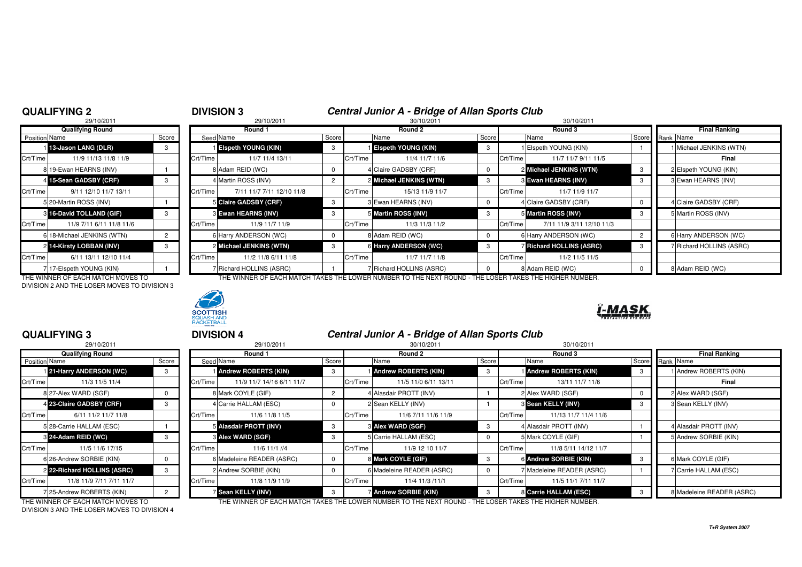### **QUALIFYING 2**

## 2 **DIVISION 3** 29/10/2011 **Central Junior A - Bridge of Allan Sports Club**<br>29/10/2011 **30/10/2011** 30/10/2011 30/10/2011

|                | 29/10/2011                 |                |          |
|----------------|----------------------------|----------------|----------|
|                | <b>Qualifying Round</b>    |                |          |
| Position Name  |                            | Score          | Seed     |
| $\blacksquare$ | 13-Jason LANG (DLR)        | 3              |          |
| Crt/Time       | 11/9 11/13 11/8 11/9       |                | Crt/Time |
|                | 8 19-Ewan HEARNS (INV)     |                | 8        |
| $\overline{4}$ | 15-Sean GADSBY (CRF)       | 3              | 4        |
| Crt/Time       | 9/11 12/10 11/7 13/11      |                | Crt/Time |
|                | 5 20-Martin ROSS (INV)     |                | 5        |
| 3              | 16-David TOLLAND (GIF)     | 3              | 3        |
| Crt/Time       | 11/9 7/11 6/11 11/8 11/6   |                | Crt/Time |
|                | 6 18-Michael JENKINS (WTN) | $\overline{2}$ | 6        |
| $\overline{2}$ | 14-Kirsty LOBBAN (INV)     | 3              | 2        |
| Crt/Time       | 6/11 13/11 12/10 11/4      |                | Crt/Time |
| 7              | 17-Elspeth YOUNG (KIN)     |                | 7        |

DIVISION 2 AND THE LOSER MOVES TO DIVISION 3



|               | <b>Qualifying Round</b>    |       |          | Round 1                       |       |          | Round 2                    |       | Round 3  |                                 |    | <b>Final Ranking</b>     |
|---------------|----------------------------|-------|----------|-------------------------------|-------|----------|----------------------------|-------|----------|---------------------------------|----|--------------------------|
| Position Name |                            | Score |          | Seed Name                     | Score |          | Name                       | Score |          | Name                            |    | Score Rank Name          |
|               | 13-Jason LANG (DLR)        |       |          | <b>Elspeth YOUNG (KIN)</b>    |       |          | <b>Elspeth YOUNG (KIN)</b> |       |          | Elspeth YOUNG (KIN)             |    | 1 Michael JENKINS (WTN)  |
| Crt/Time      | 11/9 11/13 11/8 11/9       |       | Crt/Time | 11/7 11/4 13/11               |       | Crt/Time | 11/4 11/7 11/6             |       | Crt/Time | 11/7 11/7 9/11 11/5             |    | Final                    |
|               | 8 19-Ewan HEARNS (INV)     |       |          | 8 Adam REID (WC)              |       |          | 4 Claire GADSBY (CRF)      |       |          | 2 Michael JENKINS (WTN)         | -3 | 2 Elspeth YOUNG (KIN)    |
|               | 4 15-Sean GADSBY (CRF)     |       |          | 4 Martin ROSS (INV)           |       |          | 2 Michael JENKINS (WTN)    |       |          | <b>3 Ewan HEARNS (INV)</b>      |    | 3 Ewan HEARNS (INV)      |
| Crt/Time      | 9/11 12/10 11/7 13/11      |       | Crt/Time | 7/11 11/7 7/11 12/10 11/8     |       | Crt/Time | 15/13 11/9 11/7            |       | Crt/Time | 11/7 11/9 11/7                  |    |                          |
|               | 5 20-Martin ROSS (INV)     |       |          | 5 Claire GADSBY (CRF)         |       |          | 3 Ewan HEARNS (INV)        |       |          | 4 Claire GADSBY (CRF)           |    | 4 Claire GADSBY (CRF)    |
|               | 8 16-David TOLLAND (GIF)   |       |          | 3 Ewan HEARNS (INV)           |       |          | 5 Martin ROSS (INV)        |       |          | 5 Martin ROSS (INV)             |    | 5 Martin ROSS (INV)      |
| Crt/Time      | 11/9 7/11 6/11 11/8 11/6   |       | Crt/Time | 11/9 11/7 11/9                |       | Crt/Time | 11/3 11/3 11/2             |       | Crt/Time | 7/11 11/9 3/11 12/10 11/3       |    |                          |
|               | 6 18-Michael JENKINS (WTN) |       |          | 6 Harry ANDERSON (WC)         |       |          | 8 Adam REID (WC)           |       |          | 6 Harry ANDERSON (WC)           |    | 6 Harry ANDERSON (WC)    |
|               | 2 14-Kirsty LOBBAN (INV)   |       |          | 2 Michael JENKINS (WTN)       | -3    |          | 6 Harry ANDERSON (WC)      |       |          | <b>7 Richard HOLLINS (ASRC)</b> |    | 7 Richard HOLLINS (ASRC) |
| Crt/Time      | 6/11 13/11 12/10 11/4      |       | Crt/Time | 11/2 11/8 6/11 11/8           |       | Crt/Time | 11/7 11/7 11/8             |       | Crt/Time | 11/2 11/5 11/5                  |    |                          |
|               | 717-Elspeth YOUNG (KIN)    |       |          | <b>Fichard HOLLINS (ASRC)</b> |       |          | Richard HOLLINS (ASRC)     |       |          | 8 Adam REID (WC)                |    | 8 Adam REID (WC)         |

THE WINNER OF EACH MATCH MOVES TO THE THE WINNER OF EACH MATCH TAKES THE LOWER NUMBER TO THE NEXT ROUND - THE LOSER TAKES THE HIGHER NUMBER.



### **QUALIFYING 3**

|                      | 29/10/2011                  |              |          |
|----------------------|-----------------------------|--------------|----------|
|                      | <b>Qualifying Round</b>     |              |          |
| <b>Position Name</b> |                             | Score        | Seed     |
|                      | 121-Harry ANDERSON (WC)     | 3            |          |
| Crt/Time             | 11/3 11/5 11/4              |              | Crt/Time |
|                      | 8 27-Alex WARD (SGF)        | 0            | 8        |
|                      | 4 23-Claire GADSBY (CRF)    | 3            | 4        |
| Crt/Time             | 6/11 11/2 11/7 11/8         |              | Crt/Time |
|                      | 5 28-Carrie HALLAM (ESC)    |              | 5        |
|                      | 3 24-Adam REID (WC)         | 3            | 3        |
| Crt/Time             | 11/5 11/6 17/15             |              | Crt/Time |
|                      | 6 26-Andrew SORBIE (KIN)    | <sup>0</sup> | 6        |
|                      | 2 22-Richard HOLLINS (ASRC) | 3            | 2        |
| Crt/Time             | 11/8 11/9 7/11 7/11 11/7    |              | Crt/Time |
|                      | 7 25-Andrew ROBERTS (KIN)   | 2            |          |

<sup>3</sup> **DIVISION 4 Central Junior A - Bridge of Allan Sports Club**

|       |          | 29/10/2011                |                                                                                                                                                                                                                         |          | 30/10/2011           |                                                                                                                                                                                                            | 30/10/2011                                   |                                                                                                                                                                                                               |                           |
|-------|----------|---------------------------|-------------------------------------------------------------------------------------------------------------------------------------------------------------------------------------------------------------------------|----------|----------------------|------------------------------------------------------------------------------------------------------------------------------------------------------------------------------------------------------------|----------------------------------------------|---------------------------------------------------------------------------------------------------------------------------------------------------------------------------------------------------------------|---------------------------|
|       |          | Round 1                   |                                                                                                                                                                                                                         |          | Round 2              |                                                                                                                                                                                                            | Round 3                                      |                                                                                                                                                                                                               | <b>Final Ranking</b>      |
| Score |          |                           |                                                                                                                                                                                                                         | Name     |                      | Score                                                                                                                                                                                                      |                                              |                                                                                                                                                                                                               | Score Rank Name           |
|       |          |                           | -3                                                                                                                                                                                                                      |          |                      | 3                                                                                                                                                                                                          |                                              | -3                                                                                                                                                                                                            | 1 Andrew ROBERTS (KIN)    |
|       | Crt/Time | 11/9 11/7 14/16 6/11 11/7 |                                                                                                                                                                                                                         |          | 11/5 11/0 6/11 13/11 |                                                                                                                                                                                                            | 13/11 11/7 11/6                              |                                                                                                                                                                                                               | Final                     |
|       |          |                           |                                                                                                                                                                                                                         |          |                      |                                                                                                                                                                                                            |                                              |                                                                                                                                                                                                               | 2 Alex WARD (SGF)         |
|       |          |                           |                                                                                                                                                                                                                         |          |                      |                                                                                                                                                                                                            |                                              | -3                                                                                                                                                                                                            | 3 Sean KELLY (INV)        |
|       | Crt/Time | 11/6 11/8 11/5            |                                                                                                                                                                                                                         | Crt/Time | 11/6 7/11 11/6 11/9  |                                                                                                                                                                                                            | 11/13 11/7 11/4 11/6                         |                                                                                                                                                                                                               |                           |
|       |          |                           | 3                                                                                                                                                                                                                       |          |                      | -3                                                                                                                                                                                                         |                                              |                                                                                                                                                                                                               | 4 Alasdair PROTT (INV)    |
|       |          |                           |                                                                                                                                                                                                                         |          |                      |                                                                                                                                                                                                            |                                              |                                                                                                                                                                                                               | 5 Andrew SORBIE (KIN)     |
|       |          | 11/6 11/1 //4             |                                                                                                                                                                                                                         |          | 11/9 12 10 11/7      |                                                                                                                                                                                                            | 11/8 5/11 14/12 11/7                         |                                                                                                                                                                                                               |                           |
|       |          |                           |                                                                                                                                                                                                                         |          |                      | -3                                                                                                                                                                                                         |                                              | -3                                                                                                                                                                                                            | 6 Mark COYLE (GIF)        |
|       |          |                           |                                                                                                                                                                                                                         |          |                      |                                                                                                                                                                                                            |                                              |                                                                                                                                                                                                               | 7 Carrie HALLAM (ESC)     |
|       | Crt/Time | 11/8 11/9 11/9            |                                                                                                                                                                                                                         | Crt/Time | 11/4 11/3 /11/1      |                                                                                                                                                                                                            | 11/5 11/1 7/11 11/7                          |                                                                                                                                                                                                               |                           |
|       |          |                           |                                                                                                                                                                                                                         |          |                      |                                                                                                                                                                                                            |                                              |                                                                                                                                                                                                               | 8 Madeleine READER (ASRC) |
|       |          | Crt/Time                  | Seed Name<br><b>Andrew ROBERTS (KIN)</b><br>8 Mark COYLE (GIF)<br>4 Carrie HALLAM (ESC)<br>5 Alasdair PROTT (INV)<br><b>8 Alex WARD (SGF)</b><br>6 Madeleine READER (ASRC)<br>2 Andrew SORBIE (KIN)<br>Sean KELLY (INV) | Score    | Crt/Time<br>Crt/Time | <b>Andrew ROBERTS (KIN)</b><br>4 Alasdair PROTT (INV)<br>2 Sean KELLY (INV)<br><b>8 Alex WARD (SGF)</b><br>5 Carrie HALLAM (ESC)<br>8 Mark COYLE (GIF)<br>6 Madeleine READER (ASRC)<br>Andrew SORBIE (KIN) | Crt/Time<br>Crt/Time<br>Crt/Time<br>Crt/Time | Name<br><b>Andrew ROBERTS (KIN)</b><br>2 Alex WARD (SGF)<br>3 Sean KELLY (INV)<br>4 Alasdair PROTT (INV)<br>5 Mark COYLE (GIF)<br>6 Andrew SORBIE (KIN)<br>7 Madeleine READER (ASRC)<br>8 Carrie HALLAM (ESC) |                           |

DIVISION 3 AND THE LOSER MOVES TO DIVISION 4

THE WINNER OF EACH MATCH MOVES TO THE WINNER OF EACH MATCH TAKES THE LOWER NUMBER TO THE NEXT ROUND - THE LOSER TAKES THE HIGHER NUMBER.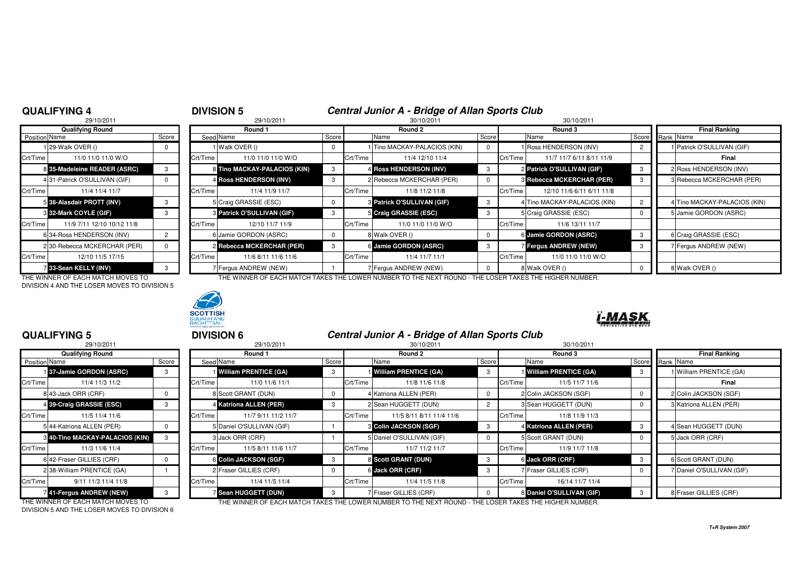## **QUALIFYING 4**

# <sup>4</sup> **DIVISION 5 Central Junior A - Bridge of Allan Sports Club** <sup>8</sup> 29/10/2011 30/10/2011 30/10/2011

|               | 29/10/2011                    |                |          |
|---------------|-------------------------------|----------------|----------|
|               | <b>Qualifying Round</b>       |                |          |
| Position Name |                               | Score          | Seed     |
|               | 29-Walk OVER ()               | 0              |          |
| Crt/Time      | 11/0 11/0 11/0 W/O            |                | Crt/Time |
|               | 8 35-Madeleine READER (ASRC)  | 3              | 8        |
|               | 4 31-Patrick O'SULLIVAN (GIF) | 0              | 4        |
| Crt/Time      | 11/4 11/4 11/7                |                | Crt/Time |
|               | 5 36-Alasdair PROTT (INV)     | 3              | 5        |
|               | 8 32-Mark COYLE (GIF)         | 3              | 3        |
| Crt/Time      | 11/9 7/11 12/10 10/12 11/8    |                | Crt/Time |
| 6             | 34-Ross HENDERSON (INV)       | $\overline{2}$ | 6        |
|               | 230-Rebecca MCKERCHAR (PER)   | 0              | 2        |
| Crt/Time      | 12/10 11/5 17/15              |                | Crt/Time |
|               | 33-Sean KELLY (INV)           | 3              |          |

DIVISION 4 AND THE LOSER MOVES TO DIVISION 5



| <b>Qualifying Round</b> |                              |       | Round 1  |                                   |              | Round 2  |                                   |       |          | Round 3                      | <b>Final Ranking</b> |                              |  |
|-------------------------|------------------------------|-------|----------|-----------------------------------|--------------|----------|-----------------------------------|-------|----------|------------------------------|----------------------|------------------------------|--|
| Position Name           |                              | Score |          | Seed Name                         | Score        |          | Name                              | Score |          | Name                         |                      | Score Rank Name              |  |
|                         | 129-Walk OVER ()             |       |          | 1 Walk OVER ()                    | U            |          | 1 Tino MACKAY-PALACIOS (KIN)      |       |          | 1 Ross HENDERSON (INV)       |                      | 1 Patrick O'SULLIVAN (GIF)   |  |
| Crt/Time                | 11/0 11/0 11/0 W/O           |       | Crt/Time | 11/0 11/0 11/0 W/O                |              | Crt/Time | 11/4 12/10 11/4                   |       | Crt/Time | 11/7 11/7 6/11 8/11 11/9     |                      | Final                        |  |
|                         | 8 35-Madeleine READER (ASRC) |       |          | 8 Tino MACKAY-PALACIOS (KIN)      | $\mathbf{3}$ |          | 4 Ross HENDERSON (INV)            |       |          | 2 Patrick O'SULLIVAN (GIF)   | -3                   | 2 Ross HENDERSON (INV)       |  |
|                         | 431-Patrick O'SULLIVAN (GIF) |       |          | 4 Ross HENDERSON (INV)            | 3            |          | 2 Rebecca MCKERCHAR (PER)         |       |          | 3 Rebecca MCKERCHAR (PER)    | -3                   | 3 Rebecca MCKERCHAR (PER)    |  |
| Crt/Time                | 11/4 11/4 11/7               |       | Crt/Time | 11/4 11/9 11/7                    |              | Crt/Time | 11/8 11/2 11/8                    |       | Crt/Time | 12/10 11/6 6/11 6/11 11/8    |                      |                              |  |
|                         | 5 36-Alasdair PROTT (INV)    |       |          | 5 Craig GRASSIE (ESC)             |              |          | <b>3 Patrick O'SULLIVAN (GIF)</b> |       |          | 4 Tino MACKAY-PALACIOS (KIN) | $\overline{2}$       | 4 Tino MACKAY-PALACIOS (KIN) |  |
|                         | <b>8 32-Mark COYLE (GIF)</b> |       |          | <b>8 Patrick O'SULLIVAN (GIF)</b> | 3            |          | 5 Craig GRASSIE (ESC)             |       |          | 5 Craig GRASSIE (ESC)        |                      | 5 Jamie GORDON (ASRC)        |  |
| Crt/Time                | 11/9 7/11 12/10 10/12 11/8   |       | Crt/Time | 12/10 11/7 11/9                   |              | Crt/Time | 11/0 11/0 11/0 W/O                |       | Crt/Time | 11/6 13/11 11/7              |                      |                              |  |
|                         | 6 34-Ross HENDERSON (INV)    |       |          | 6 Jamie GORDON (ASRC)             | $\Omega$     |          | 8 Walk OVER ()                    |       |          | 6 Jamie GORDON (ASRC)        | -3                   | 6 Craig GRASSIE (ESC)        |  |
|                         | 2 30-Rebecca MCKERCHAR (PER) |       |          | 2 Rebecca MCKERCHAR (PER)         | 3            |          | 6 Jamie GORDON (ASRC)             |       |          | <b>7 Fergus ANDREW (NEW)</b> | -3                   | 7 Fergus ANDREW (NEW)        |  |
| Crt/Time                | 12/10 11/5 17/15             |       | Crt/Time | 11/6 8/11 11/6 11/6               |              | Crt/Time | 11/4 11/7 11/1                    |       | Crt/Time | 11/0 11/0 11/0 W/O           |                      |                              |  |
|                         | 33-Sean KELLY (INV)          |       |          | 7 Fergus ANDREW (NEW)             |              |          | 7 Fergus ANDREW (NEW)             |       |          | 8 Walk OVER ()               |                      | 8 Walk OVER ()               |  |

THE WINNER OF EACH MATCH MOVES TO THE WINNER OF EACH MATCH TAKES THE LOWER NUMBER TO THE NEXT ROUND - THE LOSER TAKES THE HIGHER NUMBER.



### **QUALIFYING 5**

|                      | 29/10/2011                      |              |          |   |
|----------------------|---------------------------------|--------------|----------|---|
|                      | <b>Qualifying Round</b>         |              |          |   |
| <b>Position Name</b> |                                 | Score        | Seed     |   |
|                      | 137-Jamie GORDON (ASRC)         | 3            |          |   |
| Crt/Time             | 11/4 11/3 11/2                  |              | Crt/Time |   |
|                      | 8 43-Jack ORR (CRF)             | 0            |          | 8 |
|                      | 4 39-Craig GRASSIE (ESC)        | 3            |          | 4 |
| Crt/Time             | 11/5 11/4 11/6                  |              | Crt/Time |   |
|                      | 5 44-Katriona ALLEN (PER)       | <sup>0</sup> |          | 5 |
|                      | 8 40-Tino MACKAY-PALACIOS (KIN) | 3            |          | 3 |
| Crt/Time             | 11/3 11/6 11/4                  |              | Crt/Time |   |
|                      | 6 42-Fraser GILLIES (CRF)       | <sup>0</sup> |          | 6 |
|                      | 2 38-William PRENTICE (GA)      |              |          | 2 |
| Crt/Time             | 9/11 11/3 11/4 11/8             |              | Crt/Time |   |
|                      | 41-Fergus ANDREW (NEW)          | 3            |          | 7 |

| QUALIFYING 5                      |                                 |       | <b>DIVISION 6</b> |                              |       |          | Central Junior A - Bridge of Allan Sports Club                                                       |                |          |                              |              |                         |  |
|-----------------------------------|---------------------------------|-------|-------------------|------------------------------|-------|----------|------------------------------------------------------------------------------------------------------|----------------|----------|------------------------------|--------------|-------------------------|--|
|                                   | 29/10/2011                      |       |                   | 29/10/2011                   |       |          | 30/10/2011                                                                                           |                |          | 30/10/2011                   |              |                         |  |
| Qualifying Round                  |                                 |       |                   | Round 1                      |       |          | Round 2                                                                                              |                |          | Round 3                      |              | <b>Final Ranking</b>    |  |
| Position Name                     |                                 | Score | Seed Name         |                              | Score |          | Name                                                                                                 | Score          |          | Name                         | Score        | Rank Name               |  |
| 137-Jamie GORDON (ASRC)           |                                 | 3     |                   | <b>William PRENTICE (GA)</b> |       |          | <b>William PRENTICE (GA)</b>                                                                         | -3             |          | <b>William PRENTICE (GA)</b> | -3           | William PRENTICE (GA)   |  |
| Crt/Time                          | 11/4 11/3 11/2                  |       | Crt/Time          | 11/0 11/6 11/1               |       | Crt/Time | 11/8 11/6 11/8                                                                                       |                | Crt/Time | 11/5 11/7 11/6               |              | Final                   |  |
| 8 43-Jack ORR (CRF)               |                                 |       |                   | 8 Scott GRANT (DUN)          |       |          | 4 Katriona ALLEN (PER)                                                                               | $\Omega$       |          | 2 Colin JACKSON (SGF)        |              | 2 Colin JACKSON (SGF)   |  |
| 4 39-Craig GRASSIE (ESC)          |                                 | 3     |                   | 4 Katriona ALLEN (PER)       |       |          | 2 Sean HUGGETT (DUN)                                                                                 | $\overline{2}$ |          | 3 Sean HUGGETT (DUN)         |              | 3 Katriona ALLEN (PER)  |  |
| Crt/Time                          | 11/5 11/4 11/6                  |       | Crt/Time          | 11/7 9/11 11/2 11/7          |       | Crt/Time | 11/5 8/11 8/11 11/4 11/6                                                                             |                | Crt/Time | 11/8 11/9 11/3               |              |                         |  |
| 5 44-Katriona ALLEN (PER)         |                                 |       |                   | 5 Daniel O'SULLIVAN (GIF)    |       |          | <b>6 Colin JACKSON (SGF)</b>                                                                         | -3             |          | 4 Katriona ALLEN (PER)       | -3           | 4 Sean HUGGETT (DUN)    |  |
|                                   | 8 40-Tino MACKAY-PALACIOS (KIN) | 3     |                   | 3 Jack ORR (CRF)             |       |          | 5 Daniel O'SULLIVAN (GIF)                                                                            | $\mathbf 0$    |          | 5 Scott GRANT (DUN)          |              | 5 Jack ORR (CRF)        |  |
| Crt/Time                          | 11/3 11/6 11/4                  |       | Crt/Time          | 11/5 8/11 11/6 11/7          |       | Crt/Time | 11/7 11/2 11/7                                                                                       |                | Crt/Time | 11/9 11/7 11/8               |              |                         |  |
| 6 42-Fraser GILLIES (CRF)         |                                 |       |                   | 6 Colin JACKSON (SGF)        | 3     |          | 8 Scott GRANT (DUN)                                                                                  | -3             |          | 6 Jack ORR (CRF)             | $\mathbf{3}$ | 6 Scott GRANT (DUN)     |  |
| 238-William PRENTICE (GA)         |                                 |       |                   | 2 Fraser GILLIES (CRF)       |       |          | 6 Jack ORR (CRF)                                                                                     | -3             |          | 7 Fraser GILLIES (CRF)       |              | Daniel O'SULLIVAN (GIF) |  |
| Crt/Time                          | 9/11 11/3 11/4 11/8             |       | Crt/Time          | 11/4 11/5 11/4               |       | Crt/Time | 11/4 11/5 11/8                                                                                       |                | Crt/Time | 16/14 11/7 11/4              |              |                         |  |
| 41-Fergus ANDREW (NEW)            |                                 | 3     |                   | Sean HUGGETT (DUN)           |       |          | 7 Fraser GILLIES (CRF)                                                                               |                |          | 8 Daniel O'SULLIVAN (GIF)    |              | 8 Fraser GILLIES (CRF)  |  |
| THE WINNER OF EACH MATCH MOVES TO |                                 |       |                   |                              |       |          | THE WINNER OF EACH MATCH TAKES THE LOWER NUMBER TO THE NEVT ROUND. THE LOSER TAKES THE HIGHER NUMBER |                |          |                              |              |                         |  |

DIVISION 5 AND THE LOSER MOVES TO DIVISION 6

THE WINNER OF EACH MATCH MOVES TO THE WINNER OF EACH MATCH TAKES THE LOWER NUMBER TO THE NEXT ROUND - THE LOSER TAKES THE HIGHER NUMBER.